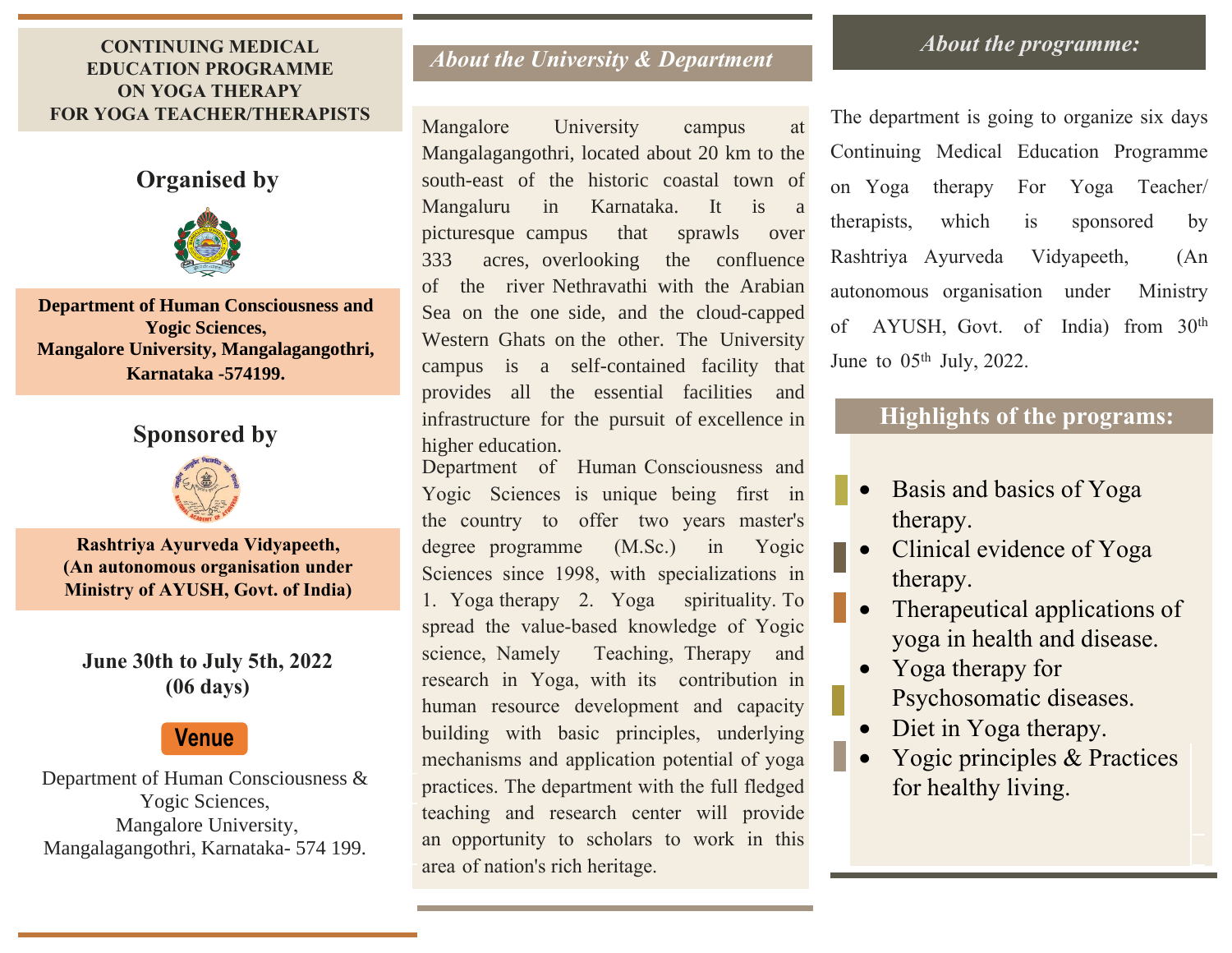#### *About the University & Department* **CONTINUING MEDICAL EDUCATION PROGRAMME ON YOGA THERAPY FOR YOGA TEACHER/THERAPISTS**

## **Organised by**



**Department of Human Consciousness and Yogic Sciences, Mangalore University, Mangalagangothri, Karnataka -574199.**

## **Sponsored by**



**Rashtriya Ayurveda Vidyapeeth, (An autonomous organisation under Ministry of AYUSH, Govt. of India)**

## **June 30th to July 5th, 2022 (06 days)**

# **Venue**

Department of Human Consciousness & Yogic Sciences, Mangalore University, Mangalagangothri, Karnataka- 574 199.

Mangalore University campus at Mangalagangothri, located about 20 km to the south-east of the historic coastal town of Mangaluru in Karnataka. It is a picturesque campus that sprawls over 333 acres, overlooking the confluence of the river Nethravathi with the Arabian Sea on the one side, and the cloud-capped Western Ghats on the other. The University campus is a self-contained facility that provides all the essential facilities and infrastructure for the pursuit of excellence in higher education.

Department of Human Consciousness and Yogic Sciences is unique being first in the country to offer two years master's degree programme (M.Sc.) in Yogic Sciences since 1998, with specializations in 1. Yoga therapy 2. Yoga spirituality. To spread the value-based knowledge of Yogic science, Namely Teaching, Therapy and research in Yoga, with its contribution in human resource development and capacity building with basic principles, underlying mechanisms and application potential of yoga practices. The department with the full fledged teaching and research center will provide an opportunity to scholars to work in this area of nation's rich heritage.

### *About the programme:*

The department is going to organize six days Continuing Medical Education Programme on Yoga therapy For Yoga Teacher/ therapists, which is sponsored by Rashtriya Ayurveda Vidyapeeth, (An autonomous organisation under Ministry of AYUSH, Govt. of India) from 30th June to  $05<sup>th</sup>$  July, 2022.

# **Highlights of the programs:**

- Basis and basics of Yoga therapy.
- Clinical evidence of Yoga therapy.
- Therapeutical applications of yoga in health and disease.
- Yoga therapy for Psychosomatic diseases.
- Diet in Yoga therapy.
- Yogic principles & Practices for healthy living.